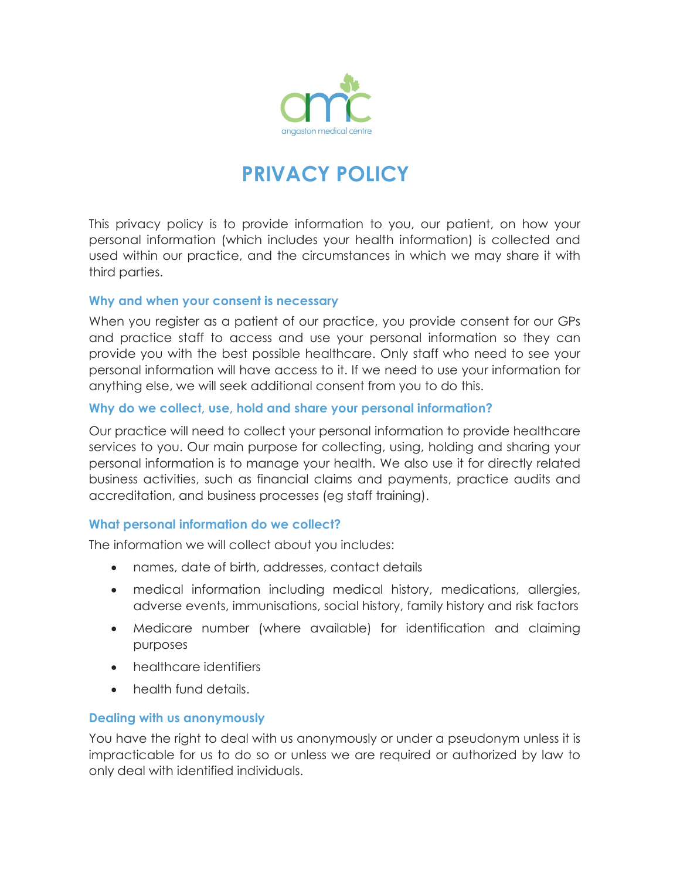

# PRIVACY POLICY

This privacy policy is to provide information to you, our patient, on how your personal information (which includes your health information) is collected and used within our practice, and the circumstances in which we may share it with third parties.

## Why and when your consent is necessary

When you register as a patient of our practice, you provide consent for our GPs and practice staff to access and use your personal information so they can provide you with the best possible healthcare. Only staff who need to see your personal information will have access to it. If we need to use your information for anything else, we will seek additional consent from you to do this.

## Why do we collect, use, hold and share your personal information?

Our practice will need to collect your personal information to provide healthcare services to you. Our main purpose for collecting, using, holding and sharing your personal information is to manage your health. We also use it for directly related business activities, such as financial claims and payments, practice audits and accreditation, and business processes (eg staff training).

#### What personal information do we collect?

The information we will collect about you includes:

- names, date of birth, addresses, contact details
- medical information including medical history, medications, allergies, adverse events, immunisations, social history, family history and risk factors
- Medicare number (where available) for identification and claiming purposes
- healthcare identifiers
- health fund details.

# Dealing with us anonymously

You have the right to deal with us anonymously or under a pseudonym unless it is impracticable for us to do so or unless we are required or authorized by law to only deal with identified individuals.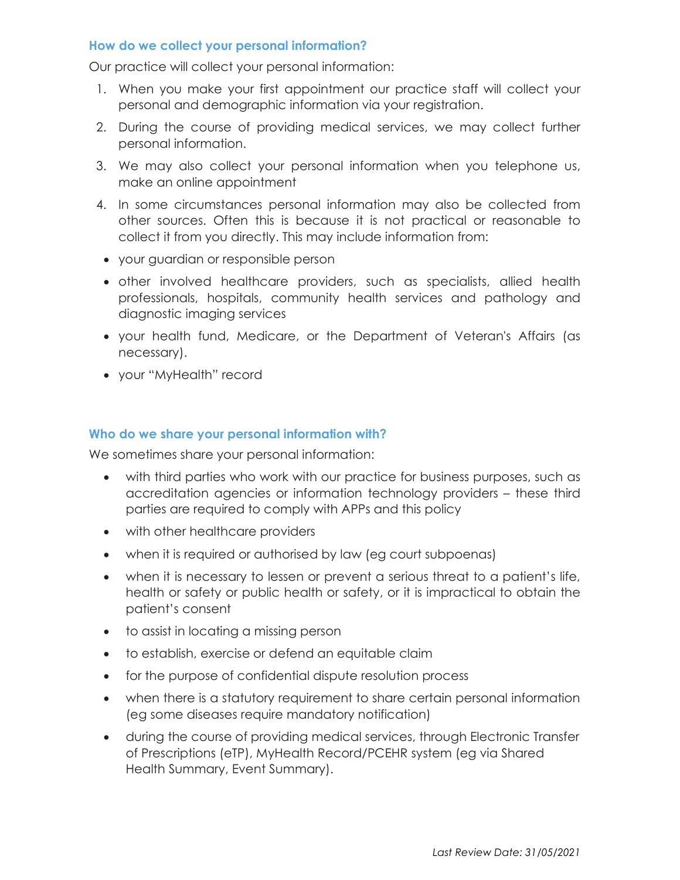## How do we collect your personal information?

Our practice will collect your personal information:

- 1. When you make your first appointment our practice staff will collect your personal and demographic information via your registration.
- 2. During the course of providing medical services, we may collect further personal information.
- 3. We may also collect your personal information when you telephone us, make an online appointment
- 4. In some circumstances personal information may also be collected from other sources. Often this is because it is not practical or reasonable to collect it from you directly. This may include information from:
- your guardian or responsible person
- other involved healthcare providers, such as specialists, allied health professionals, hospitals, community health services and pathology and diagnostic imaging services
- your health fund, Medicare, or the Department of Veteran's Affairs (as necessary).
- your "MyHealth" record

## Who do we share your personal information with?

We sometimes share your personal information:

- with third parties who work with our practice for business purposes, such as accreditation agencies or information technology providers – these third parties are required to comply with APPs and this policy
- with other healthcare providers
- when it is required or authorised by law (eg court subpoenas)
- when it is necessary to lessen or prevent a serious threat to a patient's life, health or safety or public health or safety, or it is impractical to obtain the patient's consent
- to assist in locating a missing person
- to establish, exercise or defend an equitable claim
- for the purpose of confidential dispute resolution process
- when there is a statutory requirement to share certain personal information (eg some diseases require mandatory notification)
- during the course of providing medical services, through Electronic Transfer of Prescriptions (eTP), MyHealth Record/PCEHR system (eg via Shared Health Summary, Event Summary).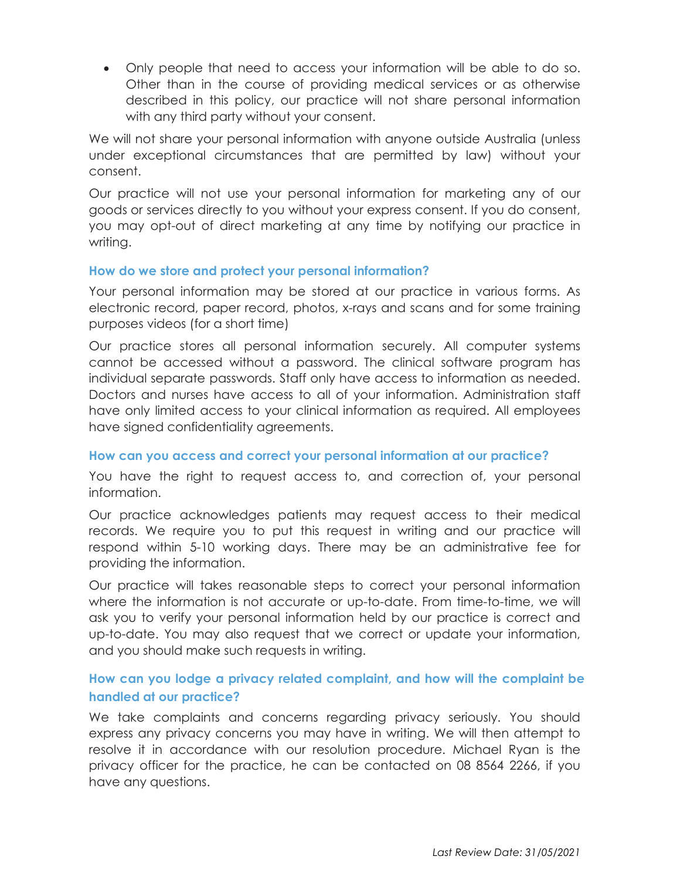Only people that need to access your information will be able to do so. Other than in the course of providing medical services or as otherwise described in this policy, our practice will not share personal information with any third party without your consent.

We will not share your personal information with anyone outside Australia (unless under exceptional circumstances that are permitted by law) without your consent.

Our practice will not use your personal information for marketing any of our goods or services directly to you without your express consent. If you do consent, you may opt-out of direct marketing at any time by notifying our practice in writing.

## How do we store and protect your personal information?

Your personal information may be stored at our practice in various forms. As electronic record, paper record, photos, x-rays and scans and for some training purposes videos (for a short time)

Our practice stores all personal information securely. All computer systems cannot be accessed without a password. The clinical software program has individual separate passwords. Staff only have access to information as needed. Doctors and nurses have access to all of your information. Administration staff have only limited access to your clinical information as required. All employees have signed confidentiality agreements.

#### How can you access and correct your personal information at our practice?

You have the right to request access to, and correction of, your personal information.

Our practice acknowledges patients may request access to their medical records. We require you to put this request in writing and our practice will respond within 5-10 working days. There may be an administrative fee for providing the information.

Our practice will takes reasonable steps to correct your personal information where the information is not accurate or up-to-date. From time-to-time, we will ask you to verify your personal information held by our practice is correct and up-to-date. You may also request that we correct or update your information, and you should make such requests in writing.

# How can you lodge a privacy related complaint, and how will the complaint be handled at our practice?

We take complaints and concerns regarding privacy seriously. You should express any privacy concerns you may have in writing. We will then attempt to resolve it in accordance with our resolution procedure. Michael Ryan is the privacy officer for the practice, he can be contacted on 08 8564 2266, if you have any questions.